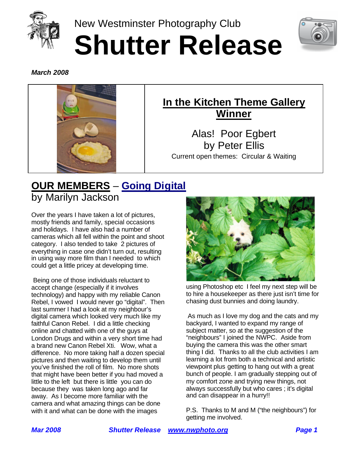

New Westminster Photography Club **Shutter Release**



*March 2008*



# **In the Kitchen Theme Gallery Winner**

Alas! Poor Egbert by Peter Ellis Current open themes: Circular & Waiting

# **OUR MEMBERS** – **Going Digital** by Marilyn Jackson

Over the years I have taken a lot of pictures, mostly friends and family, special occasions and holidays. I have also had a number of cameras which all fell within the point and shoot category. I also tended to take 2 pictures of everything in case one didn't turn out, resulting in using way more film than I needed to which could get a little pricey at developing time.

 Being one of those individuals reluctant to accept change (especially if it involves technology) and happy with my reliable Canon Rebel, I vowed I would never go "digital". Then last summer I had a look at my neighbour's digital camera which looked very much like my faithful Canon Rebel. I did a little checking online and chatted with one of the guys at London Drugs and within a very short time had a brand new Canon Rebel Xti. Wow, what a difference. No more taking half a dozen special pictures and then waiting to develop them until you've finished the roll of film. No more shots that might have been better if you had moved a little to the left but there is little you can do because they was taken long ago and far away. As I become more familiar with the camera and what amazing things can be done with it and what can be done with the images



using Photoshop etc I feel my next step will be to hire a housekeeper as there just isn't time for chasing dust bunnies and doing laundry.

 As much as I love my dog and the cats and my backyard, I wanted to expand my range of subject matter, so at the suggestion of the "neighbours" I joined the NWPC. Aside from buying the camera this was the other smart thing I did. Thanks to all the club activities I am learning a lot from both a technical and artistic viewpoint plus getting to hang out with a great bunch of people. I am gradually stepping out of my comfort zone and trying new things, not always successfully but who cares ; it's digital and can disappear in a hurry!!

P.S. Thanks to M and M ("the neighbours") for getting me involved.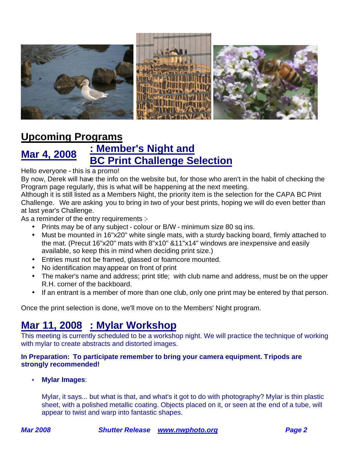

### **Upcoming Programs**

#### **Mar 4, 2008 : Member's Night and BC Print Challenge Selection**

#### Hello everyone - this is a promo!

By now, Derek will have the info on the website but, for those who aren't in the habit of checking the Program page regularly, this is what will be happening at the next meeting.

Although it is still listed as a Members Night, the priority item is the selection for the CAPA BC Print Challenge. We are asking you to bring in two of your best prints, hoping we will do even better than at last year's Challenge.

As a reminder of the entry requirements :-

- Prints may be of any subject colour or B/W minimum size 80 sq ins.
- Must be mounted in 16"x20" white single mats, with a sturdy backing board, firmly attached to the mat. (Precut 16"x20" mats with 8"x10" &11"x14" windows are inexpensive and easily available, so keep this in mind when deciding print size.)
- Entries must not be framed, glassed or foamcore mounted.
- No identification mayappear on front of print
- The maker's name and address; print title; with club name and address, must be on the upper R.H. corner of the backboard.
- If an entrant is a member of more than one club, only one print may be entered by that person.

Once the print selection is done, we'll move on to the Members' Night program.

#### **Mar 11, 2008 : Mylar Workshop**

This meeting is currently scheduled to be a workshop night. We will practice the technique of working with mylar to create abstracts and distorted images.

#### **In Preparation: To participate remember to bring your camera equipment. Tripods are strongly recommended!**

• **Mylar Images**:

Mylar, it says... but what is that, and what's it got to do with photography? Mylar is thin plastic sheet, with a polished metallic coating. Objects placed on it, or seen at the end of a tube, will appear to twist and warp into fantastic shapes.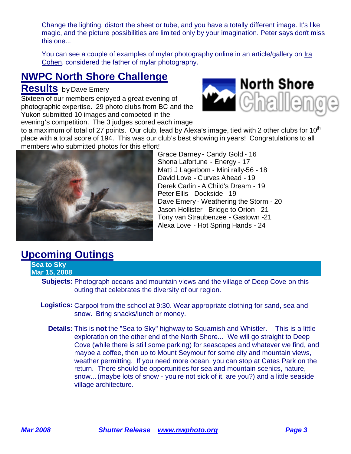Change the lighting, distort the sheet or tube, and you have a totally different image. It's like magic, and the picture possibilities are limited only by your imagination. Peter says don't miss this one...

You can see a couple of examples of mylar photography online in an article/gallery on Ira Cohen, considered the father of mylar photography.

#### **NWPC North Shore Challenge**

#### **Results** by Dave Emery

Sixteen of our members enjoyed a great evening of photographic expertise. 29 photo clubs from BC and the Yukon submitted 10 images and competed in the

evening's competition. The 3 judges scored each image



to a maximum of total of 27 points. Our club, lead by Alexa's image, tied with 2 other clubs for 10<sup>th</sup> place with a total score of 194. This was our club's best showing in years! Congratulations to all members who submitted photos for this effort!

> Grace Darney - Candy Gold - 16 Shona Lafortune - Energy - 17

Peter Ellis - Dockside - 19

Matti J Lagerbom - Mini rally-56 - 18 David Love - Curves Ahead - 19 Derek Carlin - A Child's Dream - 19

Dave Emery - Weathering the Storm - 20 Jason Hollister - Bridge to Orion - 21 Tony van Straubenzee - Gastown -21 Alexa Love - Hot Spring Hands - 24



## **Upcoming Outings**

**Sea to Sky Mar 15, 2008**

> **Subjects:** Photograph oceans and mountain views and the village of Deep Cove on this outing that celebrates the diversity of our region.

- **Logistics:** Carpool from the school at 9:30. Wear appropriate clothing for sand, sea and snow. Bring snacks/lunch or money.
	- **Details:** This is **not** the "Sea to Sky" highway to Squamish and Whistler. This is a little exploration on the other end of the North Shore... We will go straight to Deep Cove (while there is still some parking) for seascapes and whatever we find, and maybe a coffee, then up to Mount Seymour for some city and mountain views, weather permitting. If you need more ocean, you can stop at Cates Park on the return. There should be opportunities for sea and mountain scenics, nature, snow... (maybe lots of snow - you're not sick of it, are you?) and a little seaside village architecture.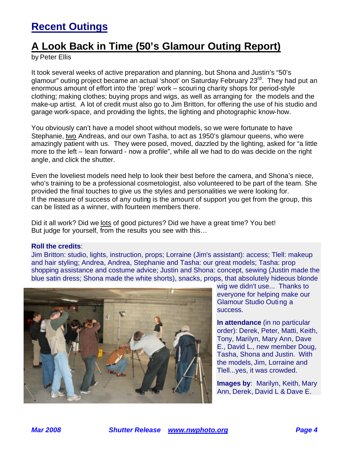### **Recent Outings**

### **A Look Back in Time (50's Glamour Outing Report)**

by Peter Ellis

It took several weeks of active preparation and planning, but Shona and Justin's "50's glamour" outing project became an actual 'shoot' on Saturday February 23<sup>rd</sup>. They had put an enormous amount of effort into the 'prep' work – scouring charity shops for period-style clothing; making clothes; buying props and wigs, as well as arranging for the models and the make-up artist. A lot of credit must also go to Jim Britton, for offering the use of his studio and garage work-space, and providing the lights, the lighting and photographic know-how.

You obviously can't have a model shoot without models, so we were fortunate to have Stephanie, two Andreas, and our own Tasha, to act as 1950's glamour queens, who were amazingly patient with us. They were posed, moved, dazzled by the lighting, asked for "a little more to the left – lean forward - now a profile", while all we had to do was decide on the right angle, and click the shutter.

Even the loveliest models need help to look their best before the camera, and Shona's niece, who's training to be a professional cosmetologist, also volunteered to be part of the team. She provided the final touches to give us the styles and personalities we were looking for. If the measure of success of any outing is the amount of support you get from the group, this can be listed as a winner, with fourteen members there.

Did it all work? Did we lots of good pictures? Did we have a great time? You bet! But judge for yourself, from the results you see with this…

#### **Roll the credits**:

Jim Britton: studio, lights, instruction, props; Lorraine (Jim's assistant): access; Tlell: makeup and hair styling; Andrea, Andrea, Stephanie and Tasha: our great models; Tasha: prop shopping assistance and costume advice; Justin and Shona: concept, sewing (Justin made the blue satin dress; Shona made the white shorts), snacks, props, that absolutely hideous blonde



wig we didn't use... Thanks to everyone for helping make our Glamour Studio Outing a success.

**In attendance** (in no particular order): Derek, Peter, Matti, Keith, Tony, Marilyn, Mary Ann, Dave E., David L., new member Doug, Tasha, Shona and Justin. With the models, Jim, Lorraine and Tlell...yes, it was crowded.

**Images by**: Marilyn, Keith, Mary Ann, Derek, David L & Dave E.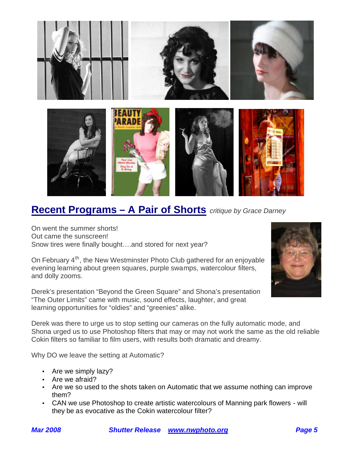

#### **Recent Programs – A Pair of Shorts** *critique by Grace Darney*

On went the summer shorts! Out came the sunscreen! Snow tires were finally bought….and stored for next year?

On February  $4<sup>th</sup>$ , the New Westminster Photo Club gathered for an enjoyable evening learning about green squares, purple swamps, watercolour filters, and dolly zooms.

Derek's presentation "Beyond the Green Square" and Shona's presentation "The Outer Limits" came with music, sound effects, laughter, and great learning opportunities for "oldies" and "greenies" alike.



Derek was there to urge us to stop setting our cameras on the fully automatic mode, and Shona urged us to use Photoshop filters that may or may not work the same as the old reliable Cokin filters so familiar to film users, with results both dramatic and dreamy.

Why DO we leave the setting at Automatic?

- Are we simply lazy?
- Are we afraid?
- Are we so used to the shots taken on Automatic that we assume nothing can improve them?
- CAN we use Photoshop to create artistic watercolours of Manning park flowers will they be as evocative as the Cokin watercolour filter?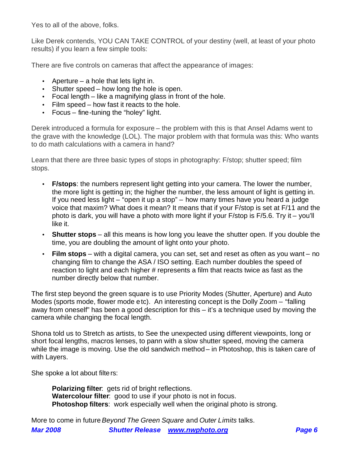Yes to all of the above, folks.

Like Derek contends, YOU CAN TAKE CONTROL of your destiny (well, at least of your photo results) if you learn a few simple tools:

There are five controls on cameras that affect the appearance of images:

- Aperture a hole that lets light in.
- Shutter speed how long the hole is open.
- Focal length like a magnifying glass in front of the hole.
- Film speed how fast it reacts to the hole.
- Focus fine-tuning the "holey" light.

Derek introduced a formula for exposure – the problem with this is that Ansel Adams went to the grave with the knowledge (LOL). The major problem with that formula was this: Who wants to do math calculations with a camera in hand?

Learn that there are three basic types of stops in photography: F/stop; shutter speed; film stops.

- **F/stops**: the numbers represent light getting into your camera. The lower the number, the more light is getting in; the higher the number, the less amount of light is getting in. If you need less light – "open it up a stop" – how many times have you heard a judge voice that maxim? What does it mean? It means that if your F/stop is set at F/11 and the photo is dark, you will have a photo with more light if your F/stop is F/5.6. Try it – you'll like it.
- **Shutter stops** all this means is how long you leave the shutter open. If you double the time, you are doubling the amount of light onto your photo.
- **Film stops** with a digital camera, you can set, set and reset as often as you want no changing film to change the ASA / ISO setting. Each number doubles the speed of reaction to light and each higher # represents a film that reacts twice as fast as the number directly below that number.

The first step beyond the green square is to use Priority Modes (Shutter, Aperture) and Auto Modes (sports mode, flower mode etc). An interesting concept is the Dolly Zoom – "falling away from oneself" has been a good description for this – it's a technique used by moving the camera while changing the focal length.

Shona told us to Stretch as artists, to See the unexpected using different viewpoints, long or short focal lengths, macros lenses, to pann with a slow shutter speed, moving the camera while the image is moving. Use the old sandwich method – in Photoshop, this is taken care of with Layers.

She spoke a lot about filters:

**Polarizing filter:** gets rid of bright reflections. **Watercolour filter**: good to use if your photo is not in focus. **Photoshop filters**: work especially well when the original photo is strong.

*Mar 2008 Shutter Release www.nwphoto.org Page 6* More to come in future *Beyond The Green Square* and *Outer Limits* talks.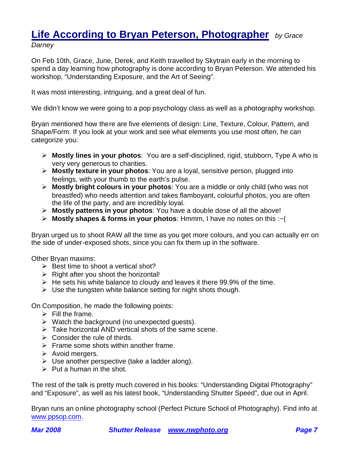#### **Life According to Bryan Peterson, Photographer** *by Grace Darney*

On Feb 10th, Grace, June, Derek, and Keith travelled by Skytrain early in the morning to spend a day learning how photography is done according to Bryan Peterson. We attended his workshop, "Understanding Exposure, and the Art of Seeing".

It was most interesting, intriguing, and a great deal of fun.

We didn't know we were going to a pop psychology class as well as a photography workshop.

Bryan mentioned how there are five elements of design: Line, Texture, Colour, Pattern, and Shape/Form. If you look at your work and see what elements you use most often, he can categorize you:

- ÿ **Mostly lines in your photos**: You are a self-disciplined, rigid, stubborn, Type A who is very very generous to charities.
- ÿ **Mostly texture in your photos**: You are a loyal, sensitive person, plugged into feelings, with your thumb to the earth's pulse.
- ÿ **Mostly bright colours in your photos**: You are a middle or only child (who was not breastfed) who needs attention and takes flamboyant, colourful photos, you are often the life of the party, and are incredibly loyal.
- ÿ **Mostly patterns in your photos**: You have a double dose of all the above!
- ÿ **Mostly shapes & forms in your photos**: Hmmm, I have no notes on this :~(

Bryan urged us to shoot RAW all the time as you get more colours, and you can actually err on the side of under-exposed shots, since you can fix them up in the software.

Other Bryan maxims:

- $\triangleright$  Best time to shoot a vertical shot?
- $\triangleright$  Right after you shoot the horizontal!
- $\triangleright$  He sets his white balance to cloudy and leaves it there 99.9% of the time.
- $\triangleright$  Use the tungsten white balance setting for night shots though.

On Composition, he made the following points:

- $\triangleright$  Fill the frame.
- $\triangleright$  Watch the background (no unexpected guests).
- $\triangleright$  Take horizontal AND vertical shots of the same scene.
- $\triangleright$  Consider the rule of thirds.
- $\triangleright$  Frame some shots within another frame.
- $\triangleright$  Avoid mergers.
- $\triangleright$  Use another perspective (take a ladder along).
- $\triangleright$  Put a human in the shot.

The rest of the talk is pretty much covered in his books: "Understanding Digital Photography" and "Exposure", as well as his latest book, "Understanding Shutter Speed", due out in April.

Bryan runs an online photography school (Perfect Picture School of Photography). Find info at www.ppsop.com.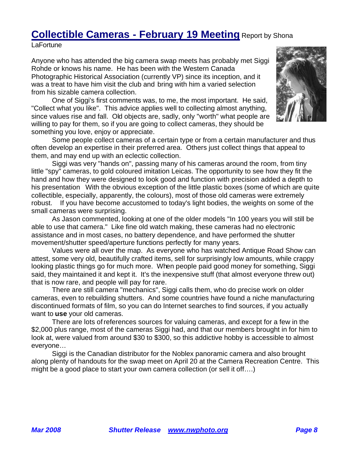## **Collectible Cameras - February 19 Meeting** Report by Shona

**LaFortune** 

Anyone who has attended the big camera swap meets has probably met Siggi Rohde or knows his name. He has been with the Western Canada Photographic Historical Association (currently VP) since its inception, and it was a treat to have him visit the club and bring with him a varied selection from his sizable camera collection.

One of Siggi's first comments was, to me, the most important. He said, "Collect what you like". This advice applies well to collecting almost anything, since values rise and fall. Old objects are, sadly, only "worth" what people are willing to pay for them, so if you are going to collect cameras, they should be something you love, enjoy or appreciate.



Some people collect cameras of a certain type or from a certain manufacturer and thus often develop an expertise in their preferred area. Others just collect things that appeal to them, and may end up with an eclectic collection.

Siggi was very "hands on", passing many of his cameras around the room, from tiny little "spy" cameras, to gold coloured imitation Leicas. The opportunity to see how they fit the hand and how they were designed to look good and function with precision added a depth to his presentation With the obvious exception of the little plastic boxes (some of which are quite collectible, especially, apparently, the colours), most of those old cameras were extremely robust. If you have become accustomed to today's light bodies, the weights on some of the small cameras were surprising.

As Jason commented, looking at one of the older models "In 100 years you will still be able to use that camera." Like fine old watch making, these cameras had no electronic assistance and in most cases, no battery dependence, and have performed the shutter movement/shutter speed/aperture functions perfectly for many years.

Values were all over the map. As everyone who has watched Antique Road Show can attest, some very old, beautifully crafted items, sell for surprisingly low amounts, while crappy looking plastic things go for much more. When people paid good money for something, Siggi said, they maintained it and kept it. It's the inexpensive stuff (that almost everyone threw out) that is now rare, and people will pay for rare.

There are still camera "mechanics", Siggi calls them, who do precise work on older cameras, even to rebuilding shutters. And some countries have found a niche manufacturing discontinued formats of film, so you can do Internet searches to find sources, if you actually want to **use** your old cameras.

There are lots of references sources for valuing cameras, and except for a few in the \$2,000 plus range, most of the cameras Siggi had, and that our members brought in for him to look at, were valued from around \$30 to \$300, so this addictive hobby is accessible to almost everyone…

Siggi is the Canadian distributor for the Noblex panoramic camera and also brought along plenty of handouts for the swap meet on April 20 at the Camera Recreation Centre. This might be a good place to start your own camera collection (or sell it off….)